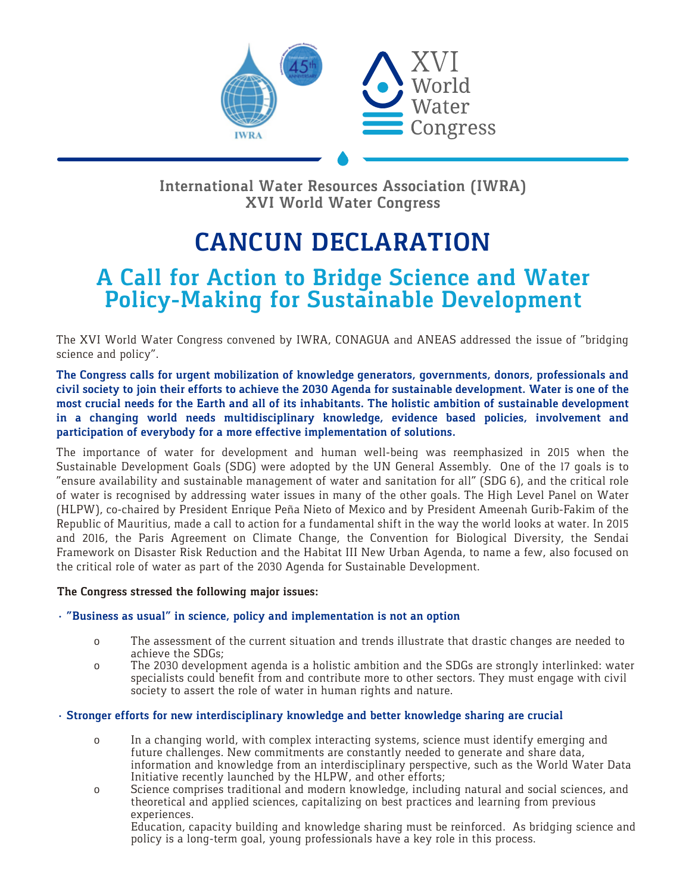

**International Water Resources Association (IWRA) XVI World Water Congress** 

# **CANCUN DECLARATION**

# **A Call for Action to Bridge Science and Water Policy-Making for Sustainable Development**

The XVI World Water Congress convened by IWRA, CONAGUA and ANEAS addressed the issue of "bridging science and policy".

**The Congress calls for urgent mobilization of knowledge generators, governments, donors, professionals and civil society to join their efforts to achieve the 2030 Agenda for sustainable development. Water is one of the most crucial needs for the Earth and all of its inhabitants. The holistic ambition of sustainable development in a changing world needs multidisciplinary knowledge, evidence based policies, involvement and participation of everybody for a more effective implementation of solutions.** 

The importance of water for development and human well-being was reemphasized in 2015 when the Sustainable Development Goals (SDG) were adopted by the UN General Assembly. One of the 17 goals is to "ensure availability and sustainable management of water and sanitation for all" (SDG 6), and the critical role of water is recognised by addressing water issues in many of the other goals. The High Level Panel on Water (HLPW), co-chaired by President Enrique Peña Nieto of Mexico and by President Ameenah Gurib-Fakim of the Republic of Mauritius, made a call to action for a fundamental shift in the way the world looks at water. In 2015 and 2016, the Paris Agreement on Climate Change, the Convention for Biological Diversity, the Sendai Framework on Disaster Risk Reduction and the Habitat III New Urban Agenda, to name a few, also focused on the critical role of water as part of the 2030 Agenda for Sustainable Development.

#### **The Congress stressed the following major issues:**

# **· "Business as usual" in science, policy and implementation is not an option**

- o The assessment of the current situation and trends illustrate that drastic changes are needed to achieve the SDGs;
- o The 2030 development agenda is a holistic ambition and the SDGs are strongly interlinked: water specialists could benefit from and contribute more to other sectors. They must engage with civil society to assert the role of water in human rights and nature.

## **· Stronger efforts for new interdisciplinary knowledge and better knowledge sharing are crucial**

- o In a changing world, with complex interacting systems, science must identify emerging and future challenges. New commitments are constantly needed to generate and share data, information and knowledge from an interdisciplinary perspective, such as the World Water Data Initiative recently launched by the HLPW, and other efforts;
- o Science comprises traditional and modern knowledge, including natural and social sciences, and theoretical and applied sciences, capitalizing on best practices and learning from previous experiences.

 Education, capacity building and knowledge sharing must be reinforced. As bridging science and policy is a long-term goal, young professionals have a key role in this process.